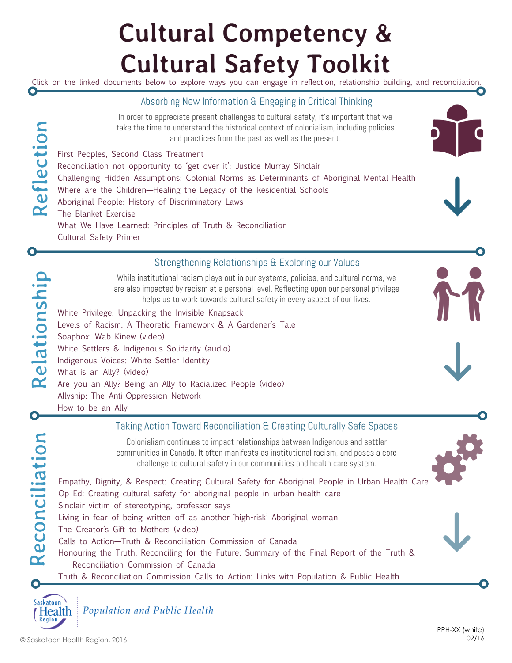### **Cultural Competency & Cultural Safety Toolkit**

Click on the linked documents below to explore ways you can engage in reflection, relationship building, and reconciliation. O

#### Absorbing New Information & Engaging in Critical Thinking

In order to appreciate present challenges to cultural safety, it's important that we take the time to understand the historical context of colonialism, including policies and practices from the past as well as the present.

[First Peoples, Second Class Treatment](http://www.wellesleyinstitute.com/wp-content/uploads/2015/02/Summary-First-Peoples-Second-Class-Treatment-Final.pdf) [Reconciliation not opportunity to 'get over it': Justice Murray Sinclair](http://www.cbc.ca/news/aboriginal/reconciliation-not-opportunity-to-get-over-it-justice-murray-sinclair-1.2614352) [Challenging Hidden Assumptions: Colonial Norms as Determinants of Aboriginal Mental Health](http://www.nccah-ccnsa.ca/publications/lists/publications/attachments/70/colonial_norms_EN_web.pdf) [Where are the Children—Healing the Legacy of the Residential Schools](http://wherearethechildren.ca/) [Aboriginal People: History of Discriminatory Laws](http://publications.gc.ca/Collection-R/LoPBdP/BP/bp175-e.htm#INTRODUCTION(txt)) [The Blanket Exercise](http://spiritoftheland.ca/wp-content/uploads/2014/04/Blanket-Exercise.pdf) [What We Have Learned: Principles of Truth & Reconciliation](http://www.trc.ca/websites/trcinstitution/File/2015/Findings/Principles%20of%20Truth%20and%20Reconciliation.pdf) [Cultural Safety Primer](file:///I:/Public Health General/Learning/Cultural Competency & Safety/Toolkit Documents - linked/Cultural Safety Primer.pdf)





#### Strengthening Relationships & Exploring our Values

While institutional racism plays out in our systems, policies, and cultural norms, we are also impacted by racism at a personal level. Reflecting upon our personal privilege helps us to work towards cultural safety in every aspect of our lives.

White Privilege: [Unpacking the Invisible Knapsack](http://www.cirtl.net/files/PartI_CreatingAwareness_WhitePrivilegeUnpackingtheInvisibleKnapsack.pdf) [Levels of Racism: A Theoretic Framework & A Gardener's Tale](https://www.cahealthadvocates.org/_pdf/news/2007/Levels-Of-Racism.pdf) [Soapbox: Wab Kinew \(video\)](https://www.youtube.com/watch?v=GlkuRCXdu5A) [White Settlers & Indigenous Solidarity \(audio\)](https://decolonization.wordpress.com/2014/05/26/white-settlers-and-indigenous-solidarity-confronting-white-supremacy-answering-decolonial-alliances/) [Indigenous Voices: White Settler Identity](http://www.usask.ca/indigenousvoices/resources/whiteness_privilege) [What is an Ally? \(video\)](https://www.youtube.com/watch?v=_f_aLolHBiA) [Are you an Ally? Being an Ally to Racialized People \(video\)](https://www.youtube.com/watch?v=WpEs2GK3V4A) Allyship: The Anti-[Oppression Network](https://theantioppressionnetwork.wordpress.com/allyship/)

[How to be an Ally](http://www.daa.org.uk/uploads/pdf/How%20to%20be%20an%20Ally.pdf)

#### Taking Action Toward Reconciliation & Creating Culturally Safe Spaces

Colonialism continues to impact relationships between Indigenous and settler communities in Canada. It often manifests as institutional racism, and poses a core challenge to cultural safety in our communities and health care system.

[Empathy, Dignity, & Respect: Creating Cultural Safety for Aboriginal People in Urban Health Care](http://www.naccho.org.au/download/aboriginal-health/Canda%20Aboriginal_Report-Cultural%20safety.pdf) [Op Ed: Creating cultural safety for aboriginal people in urban health care](http://www.thestar.com/opinion/editorialopinion/2012/12/23/creating_cultural_safety_for_aboriginal_people_in_urban_health_care.html)

[Sinclair victim of stereotyping, professor says](http://www.winnipegfreepress.com/local/sinclair-victim-of-stereotyping-professor-says-254004561.html)

[Living in fear of being written off as another 'high](http://www.theglobeandmail.com/news/national/living-in-fear-of-being-written-off-as-another-high-risk-aboriginal-woman/article23461886/)-risk' Aboriginal woman

[The Creator's Gift to Mothers \(video\)](https://youtu.be/rkaxLGI5WBw)

- [Calls to Action—Truth & Reconciliation Commission of Canada](http://www.trc.ca/websites/trcinstitution/File/2015/Findings/Calls_to_Action_English2.pdf)
- [Honouring the Truth, Reconciling for the Future: Summary of the Final Report of the Truth &](http://www.trc.ca/websites/trcinstitution/File/2015/Honouring_the_Truth_Reconciling_for_the_Future_July_23_2015.pdf)  [Reconciliation Commission of Canada](http://www.trc.ca/websites/trcinstitution/File/2015/Honouring_the_Truth_Reconciling_for_the_Future_July_23_2015.pdf)

[Truth & Reconciliation Commission Calls to Action: Links with Population & Public Health](file:///I:/Public Health General/Learning/Cultural Competency & Safety/Toolkit Documents - linked/TRC Recommendations - PPH Links.pdf)



O

Reflection

Relationship

 $\bullet$ 

Reconciliation

Population and Public Health